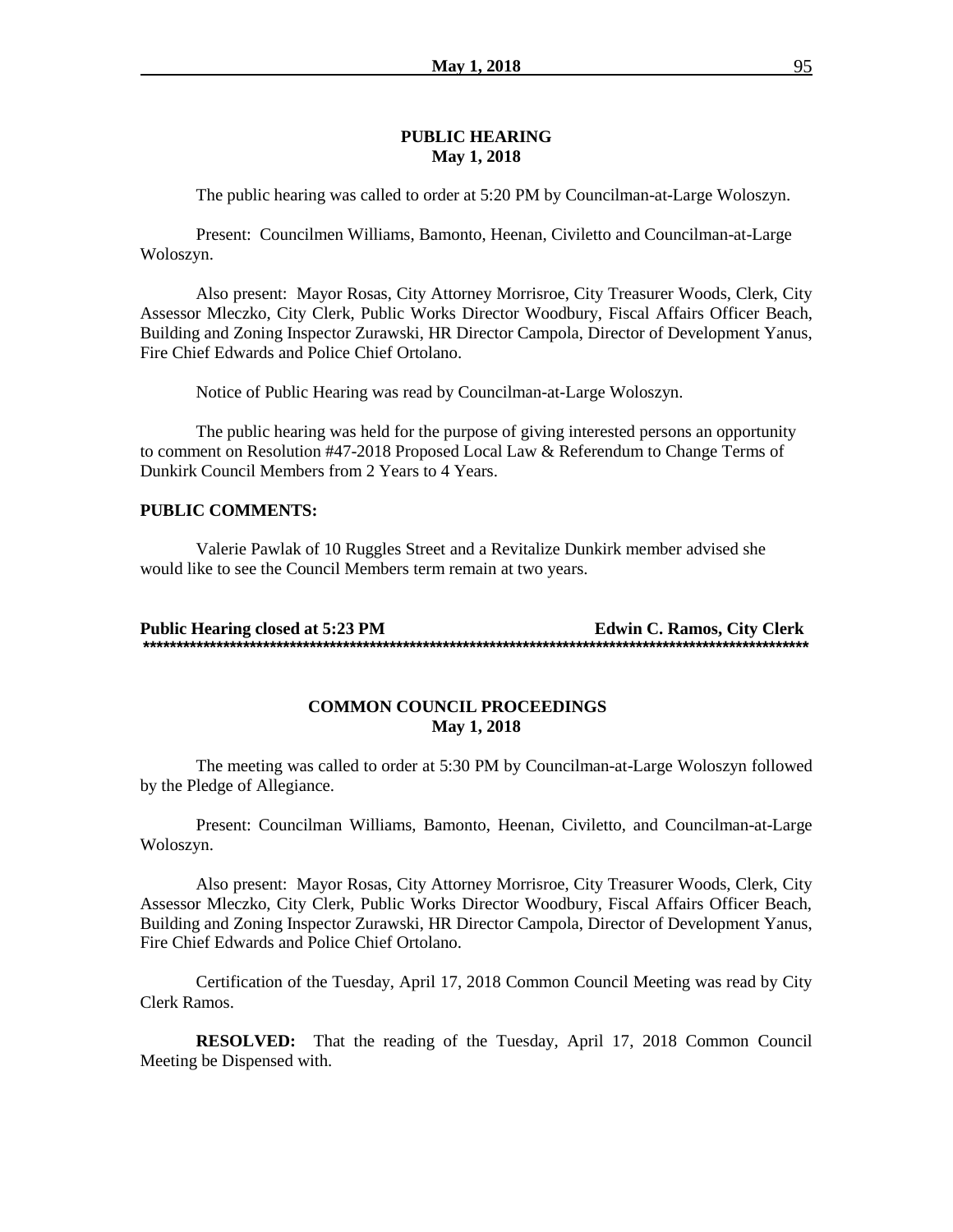#### **PUBLIC HEARING May 1, 2018**

The public hearing was called to order at 5:20 PM by Councilman-at-Large Woloszyn.

Present: Councilmen Williams, Bamonto, Heenan, Civiletto and Councilman-at-Large Woloszyn.

Also present: Mayor Rosas, City Attorney Morrisroe, City Treasurer Woods, Clerk, City Assessor Mleczko, City Clerk, Public Works Director Woodbury, Fiscal Affairs Officer Beach, Building and Zoning Inspector Zurawski, HR Director Campola, Director of Development Yanus, Fire Chief Edwards and Police Chief Ortolano.

Notice of Public Hearing was read by Councilman-at-Large Woloszyn.

The public hearing was held for the purpose of giving interested persons an opportunity to comment on Resolution #47-2018 Proposed Local Law & Referendum to Change Terms of Dunkirk Council Members from 2 Years to 4 Years.

#### **PUBLIC COMMENTS:**

Valerie Pawlak of 10 Ruggles Street and a Revitalize Dunkirk member advised she would like to see the Council Members term remain at two years.

**Public Hearing closed at 5:23 PM Edwin C. Ramos, City Clerk \*\*\*\*\*\*\*\*\*\*\*\*\*\*\*\*\*\*\*\*\*\*\*\*\*\*\*\*\*\*\*\*\*\*\*\*\*\*\*\*\*\*\*\*\*\*\*\*\*\*\*\*\*\*\*\*\*\*\*\*\*\*\*\*\*\*\*\*\*\*\*\*\*\*\*\*\*\*\*\*\*\*\*\*\*\*\*\*\*\*\*\*\*\*\*\*\*\*\*\***

### **COMMON COUNCIL PROCEEDINGS May 1, 2018**

The meeting was called to order at 5:30 PM by Councilman-at-Large Woloszyn followed by the Pledge of Allegiance.

Present: Councilman Williams, Bamonto, Heenan, Civiletto, and Councilman-at-Large Woloszyn.

Also present: Mayor Rosas, City Attorney Morrisroe, City Treasurer Woods, Clerk, City Assessor Mleczko, City Clerk, Public Works Director Woodbury, Fiscal Affairs Officer Beach, Building and Zoning Inspector Zurawski, HR Director Campola, Director of Development Yanus, Fire Chief Edwards and Police Chief Ortolano.

Certification of the Tuesday, April 17, 2018 Common Council Meeting was read by City Clerk Ramos.

**RESOLVED:** That the reading of the Tuesday, April 17, 2018 Common Council Meeting be Dispensed with.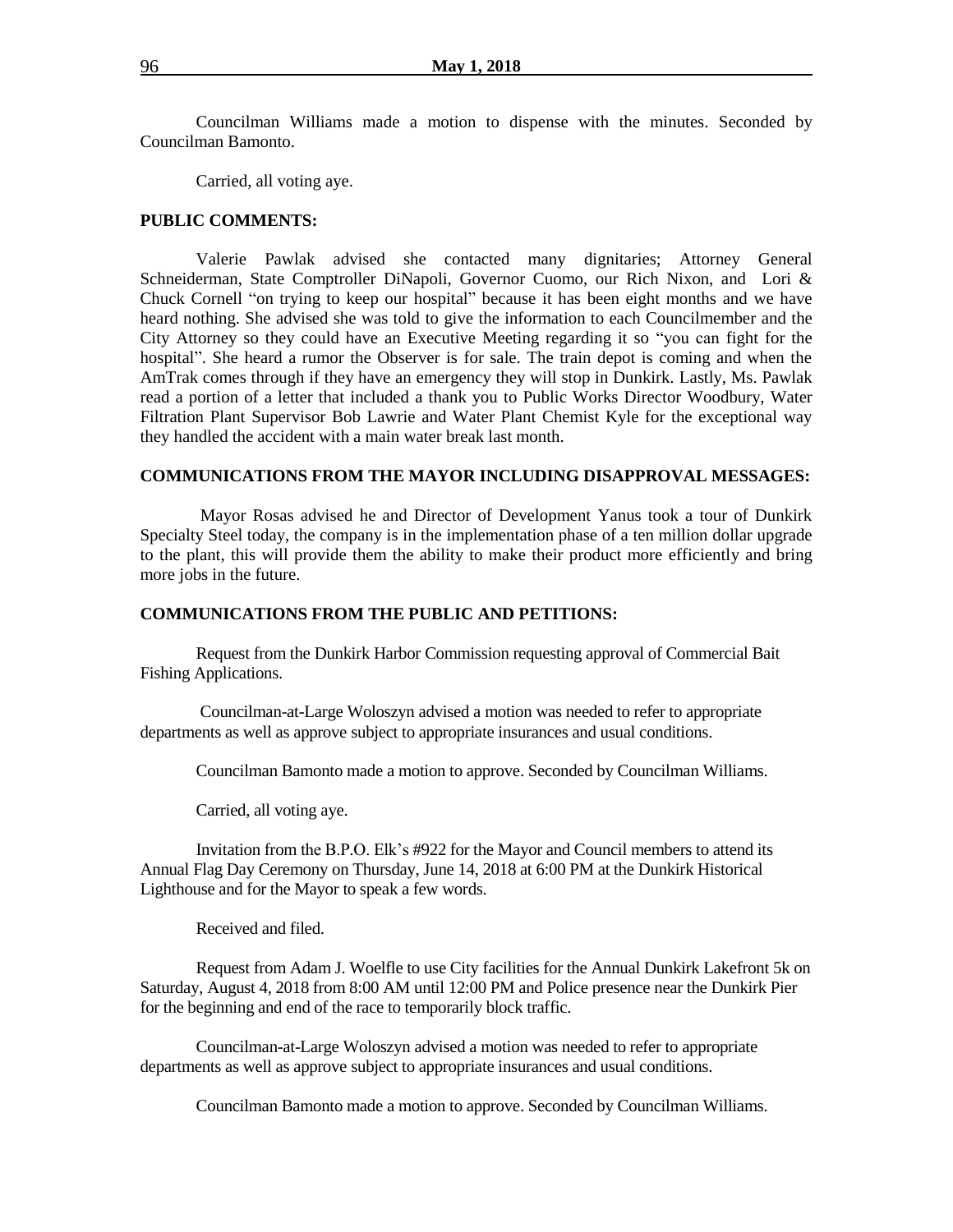Councilman Williams made a motion to dispense with the minutes. Seconded by Councilman Bamonto.

Carried, all voting aye.

#### **PUBLIC COMMENTS:**

Valerie Pawlak advised she contacted many dignitaries; Attorney General Schneiderman, State Comptroller DiNapoli, Governor Cuomo, our Rich Nixon, and Lori & Chuck Cornell "on trying to keep our hospital" because it has been eight months and we have heard nothing. She advised she was told to give the information to each Councilmember and the City Attorney so they could have an Executive Meeting regarding it so "you can fight for the hospital". She heard a rumor the Observer is for sale. The train depot is coming and when the AmTrak comes through if they have an emergency they will stop in Dunkirk. Lastly, Ms. Pawlak read a portion of a letter that included a thank you to Public Works Director Woodbury, Water Filtration Plant Supervisor Bob Lawrie and Water Plant Chemist Kyle for the exceptional way they handled the accident with a main water break last month.

#### **COMMUNICATIONS FROM THE MAYOR INCLUDING DISAPPROVAL MESSAGES:**

Mayor Rosas advised he and Director of Development Yanus took a tour of Dunkirk Specialty Steel today, the company is in the implementation phase of a ten million dollar upgrade to the plant, this will provide them the ability to make their product more efficiently and bring more jobs in the future.

#### **COMMUNICATIONS FROM THE PUBLIC AND PETITIONS:**

Request from the Dunkirk Harbor Commission requesting approval of Commercial Bait Fishing Applications.

Councilman-at-Large Woloszyn advised a motion was needed to refer to appropriate departments as well as approve subject to appropriate insurances and usual conditions.

Councilman Bamonto made a motion to approve. Seconded by Councilman Williams.

Carried, all voting aye.

Invitation from the B.P.O. Elk's #922 for the Mayor and Council members to attend its Annual Flag Day Ceremony on Thursday, June 14, 2018 at 6:00 PM at the Dunkirk Historical Lighthouse and for the Mayor to speak a few words.

Received and filed.

Request from Adam J. Woelfle to use City facilities for the Annual Dunkirk Lakefront 5k on Saturday, August 4, 2018 from 8:00 AM until 12:00 PM and Police presence near the Dunkirk Pier for the beginning and end of the race to temporarily block traffic.

Councilman-at-Large Woloszyn advised a motion was needed to refer to appropriate departments as well as approve subject to appropriate insurances and usual conditions.

Councilman Bamonto made a motion to approve. Seconded by Councilman Williams.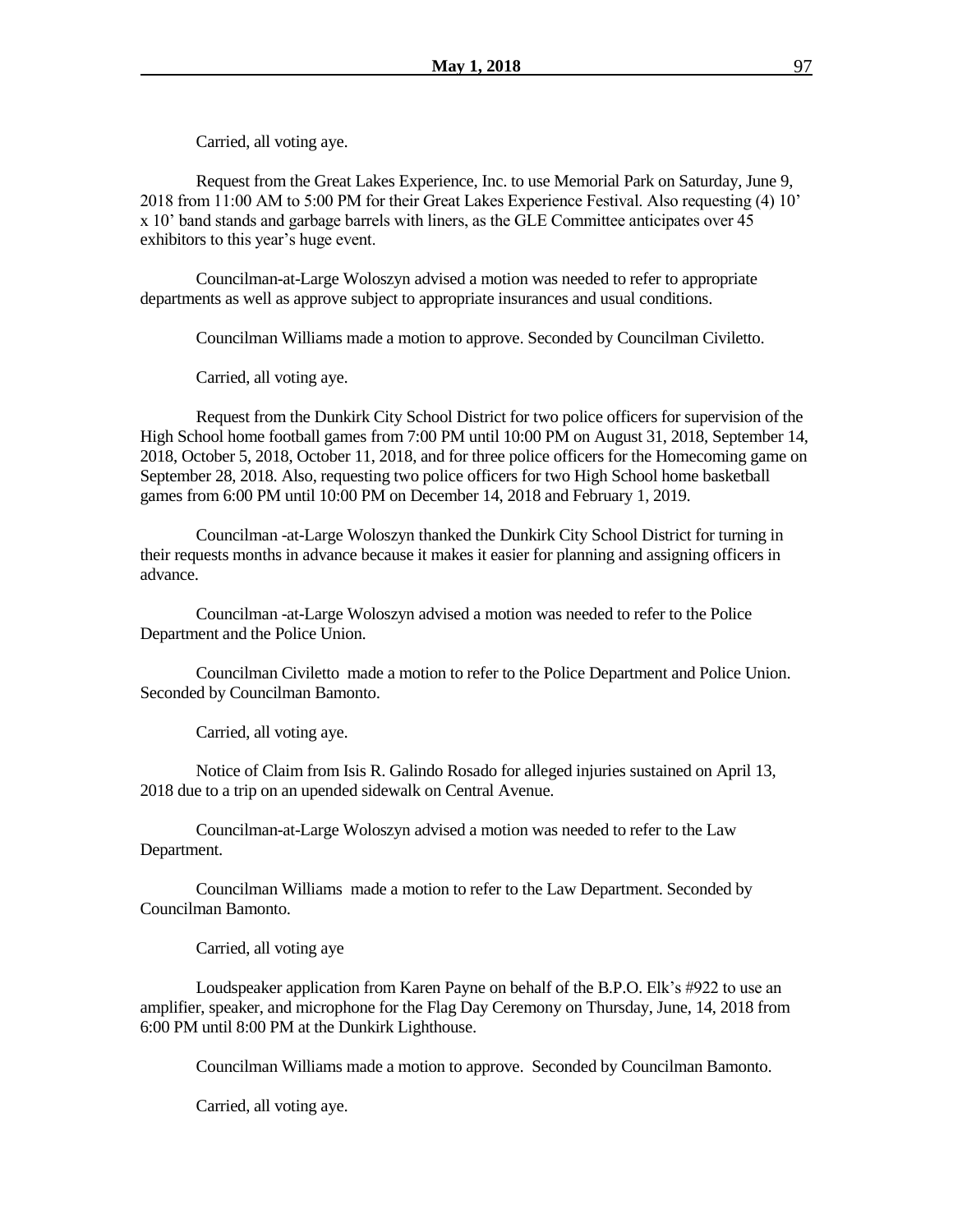Carried, all voting aye.

Request from the Great Lakes Experience, Inc. to use Memorial Park on Saturday, June 9, 2018 from 11:00 AM to 5:00 PM for their Great Lakes Experience Festival. Also requesting (4) 10' x 10' band stands and garbage barrels with liners, as the GLE Committee anticipates over 45 exhibitors to this year's huge event.

Councilman-at-Large Woloszyn advised a motion was needed to refer to appropriate departments as well as approve subject to appropriate insurances and usual conditions.

Councilman Williams made a motion to approve. Seconded by Councilman Civiletto.

Carried, all voting aye.

Request from the Dunkirk City School District for two police officers for supervision of the High School home football games from 7:00 PM until 10:00 PM on August 31, 2018, September 14, 2018, October 5, 2018, October 11, 2018, and for three police officers for the Homecoming game on September 28, 2018. Also, requesting two police officers for two High School home basketball games from 6:00 PM until 10:00 PM on December 14, 2018 and February 1, 2019.

Councilman -at-Large Woloszyn thanked the Dunkirk City School District for turning in their requests months in advance because it makes it easier for planning and assigning officers in advance.

Councilman -at-Large Woloszyn advised a motion was needed to refer to the Police Department and the Police Union.

Councilman Civiletto made a motion to refer to the Police Department and Police Union. Seconded by Councilman Bamonto.

Carried, all voting aye.

Notice of Claim from Isis R. Galindo Rosado for alleged injuries sustained on April 13, 2018 due to a trip on an upended sidewalk on Central Avenue.

Councilman-at-Large Woloszyn advised a motion was needed to refer to the Law Department.

Councilman Williams made a motion to refer to the Law Department. Seconded by Councilman Bamonto.

Carried, all voting aye

Loudspeaker application from Karen Payne on behalf of the B.P.O. Elk's #922 to use an amplifier, speaker, and microphone for the Flag Day Ceremony on Thursday, June, 14, 2018 from 6:00 PM until 8:00 PM at the Dunkirk Lighthouse.

Councilman Williams made a motion to approve. Seconded by Councilman Bamonto.

Carried, all voting aye.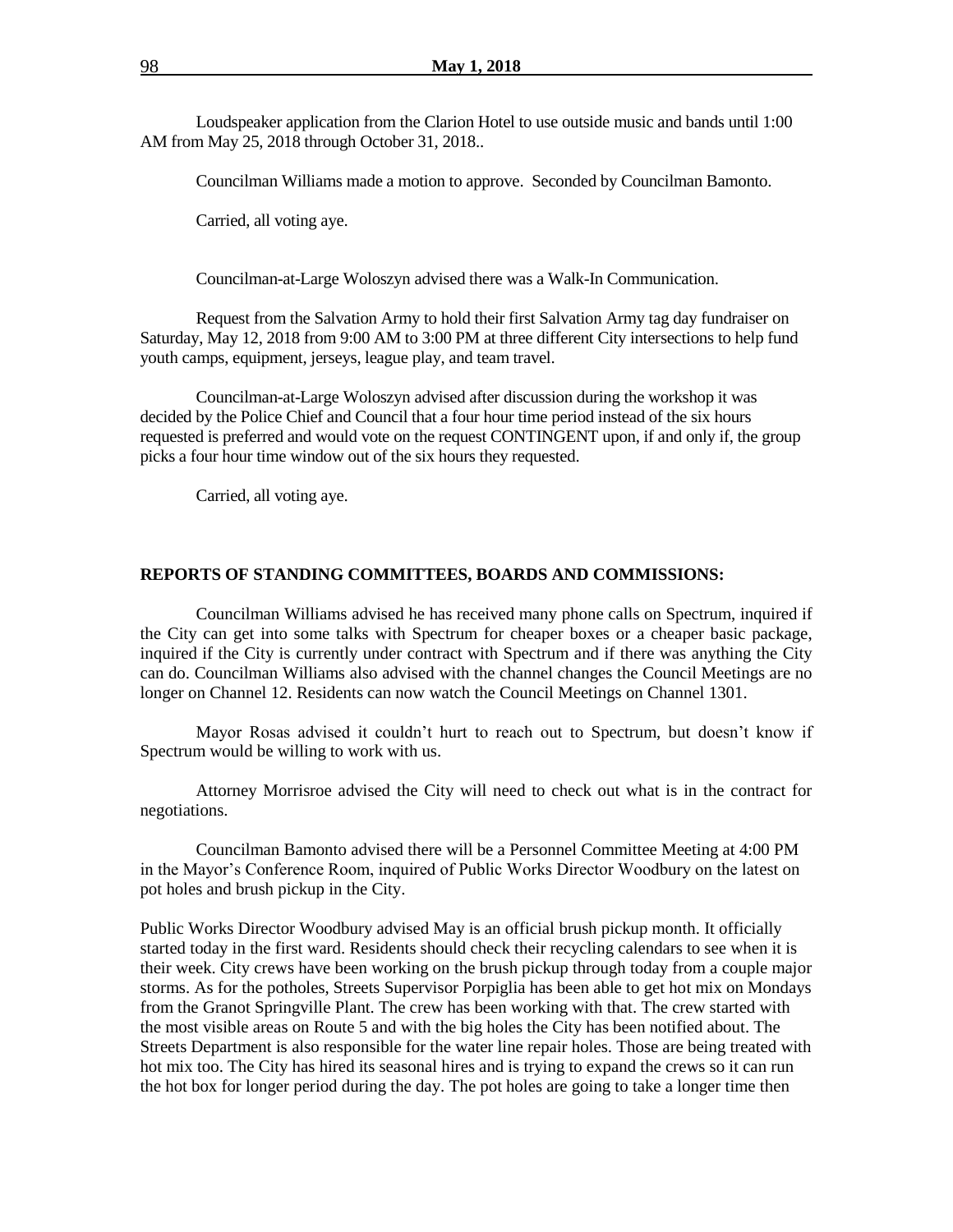Loudspeaker application from the Clarion Hotel to use outside music and bands until 1:00 AM from May 25, 2018 through October 31, 2018..

Councilman Williams made a motion to approve. Seconded by Councilman Bamonto.

Carried, all voting aye.

Councilman-at-Large Woloszyn advised there was a Walk-In Communication.

Request from the Salvation Army to hold their first Salvation Army tag day fundraiser on Saturday, May 12, 2018 from 9:00 AM to 3:00 PM at three different City intersections to help fund youth camps, equipment, jerseys, league play, and team travel.

Councilman-at-Large Woloszyn advised after discussion during the workshop it was decided by the Police Chief and Council that a four hour time period instead of the six hours requested is preferred and would vote on the request CONTINGENT upon, if and only if, the group picks a four hour time window out of the six hours they requested.

Carried, all voting aye.

#### **REPORTS OF STANDING COMMITTEES, BOARDS AND COMMISSIONS:**

Councilman Williams advised he has received many phone calls on Spectrum, inquired if the City can get into some talks with Spectrum for cheaper boxes or a cheaper basic package, inquired if the City is currently under contract with Spectrum and if there was anything the City can do. Councilman Williams also advised with the channel changes the Council Meetings are no longer on Channel 12. Residents can now watch the Council Meetings on Channel 1301.

Mayor Rosas advised it couldn't hurt to reach out to Spectrum, but doesn't know if Spectrum would be willing to work with us.

Attorney Morrisroe advised the City will need to check out what is in the contract for negotiations.

Councilman Bamonto advised there will be a Personnel Committee Meeting at 4:00 PM in the Mayor's Conference Room, inquired of Public Works Director Woodbury on the latest on pot holes and brush pickup in the City.

Public Works Director Woodbury advised May is an official brush pickup month. It officially started today in the first ward. Residents should check their recycling calendars to see when it is their week. City crews have been working on the brush pickup through today from a couple major storms. As for the potholes, Streets Supervisor Porpiglia has been able to get hot mix on Mondays from the Granot Springville Plant. The crew has been working with that. The crew started with the most visible areas on Route 5 and with the big holes the City has been notified about. The Streets Department is also responsible for the water line repair holes. Those are being treated with hot mix too. The City has hired its seasonal hires and is trying to expand the crews so it can run the hot box for longer period during the day. The pot holes are going to take a longer time then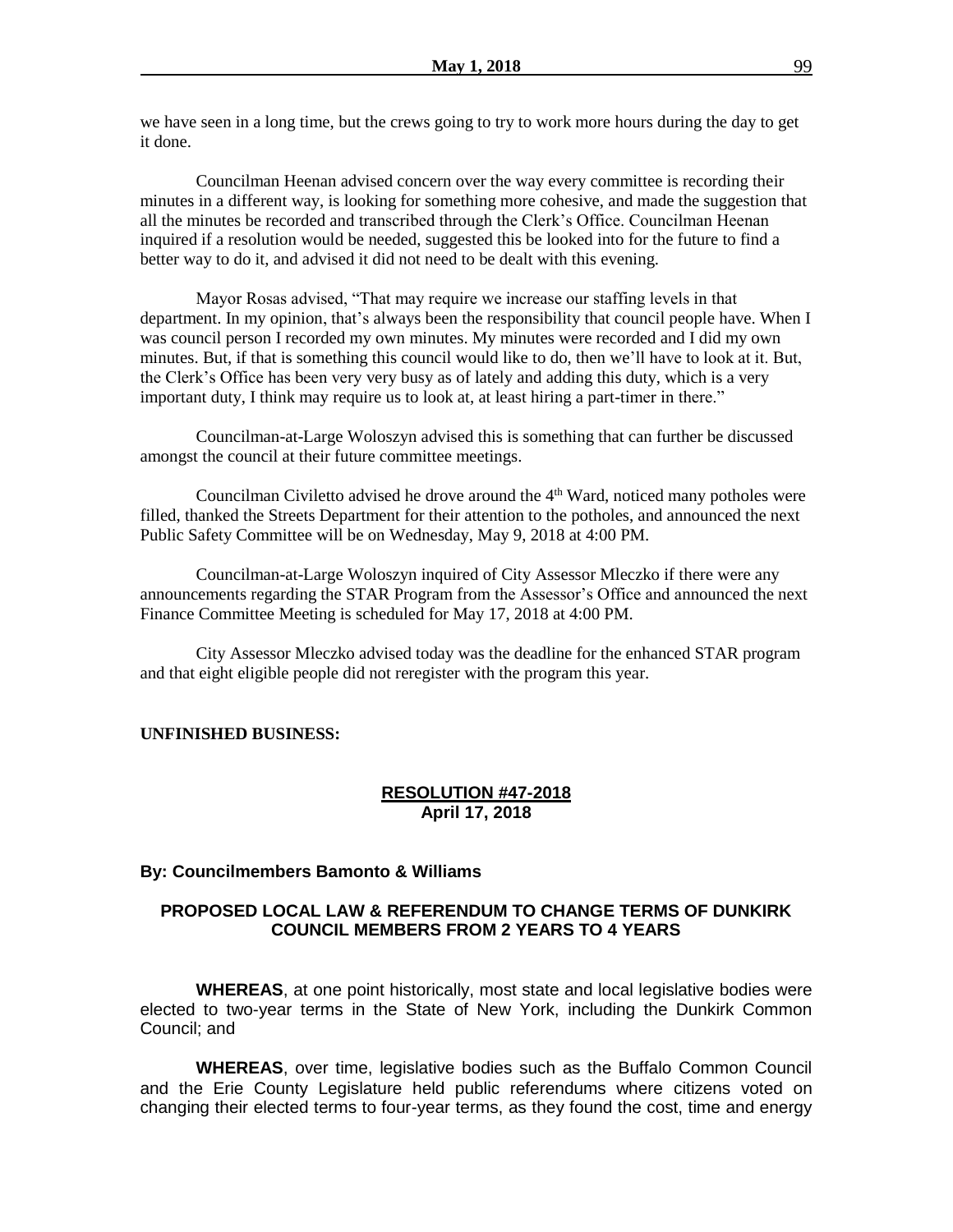we have seen in a long time, but the crews going to try to work more hours during the day to get it done.

Councilman Heenan advised concern over the way every committee is recording their minutes in a different way, is looking for something more cohesive, and made the suggestion that all the minutes be recorded and transcribed through the Clerk's Office. Councilman Heenan inquired if a resolution would be needed, suggested this be looked into for the future to find a better way to do it, and advised it did not need to be dealt with this evening.

Mayor Rosas advised, "That may require we increase our staffing levels in that department. In my opinion, that's always been the responsibility that council people have. When I was council person I recorded my own minutes. My minutes were recorded and I did my own minutes. But, if that is something this council would like to do, then we'll have to look at it. But, the Clerk's Office has been very very busy as of lately and adding this duty, which is a very important duty, I think may require us to look at, at least hiring a part-timer in there."

Councilman-at-Large Woloszyn advised this is something that can further be discussed amongst the council at their future committee meetings.

Councilman Civiletto advised he drove around the  $4<sup>th</sup>$  Ward, noticed many potholes were filled, thanked the Streets Department for their attention to the potholes, and announced the next Public Safety Committee will be on Wednesday, May 9, 2018 at 4:00 PM.

Councilman-at-Large Woloszyn inquired of City Assessor Mleczko if there were any announcements regarding the STAR Program from the Assessor's Office and announced the next Finance Committee Meeting is scheduled for May 17, 2018 at 4:00 PM.

City Assessor Mleczko advised today was the deadline for the enhanced STAR program and that eight eligible people did not reregister with the program this year.

#### **UNFINISHED BUSINESS:**

### **RESOLUTION #47-2018 April 17, 2018**

#### **By: Councilmembers Bamonto & Williams**

# **PROPOSED LOCAL LAW & REFERENDUM TO CHANGE TERMS OF DUNKIRK COUNCIL MEMBERS FROM 2 YEARS TO 4 YEARS**

**WHEREAS**, at one point historically, most state and local legislative bodies were elected to two-year terms in the State of New York, including the Dunkirk Common Council; and

**WHEREAS**, over time, legislative bodies such as the Buffalo Common Council and the Erie County Legislature held public referendums where citizens voted on changing their elected terms to four-year terms, as they found the cost, time and energy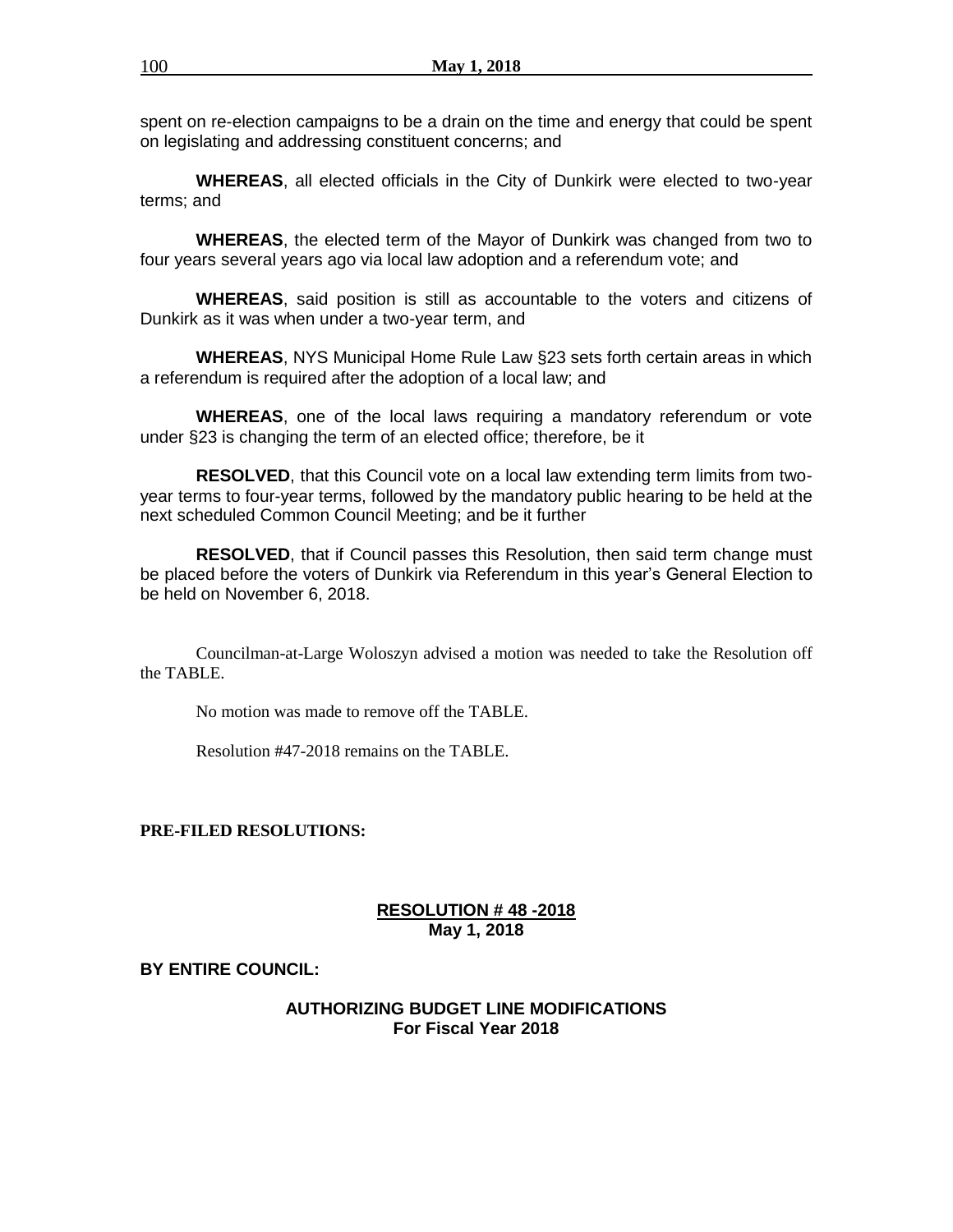spent on re-election campaigns to be a drain on the time and energy that could be spent on legislating and addressing constituent concerns; and

**WHEREAS**, all elected officials in the City of Dunkirk were elected to two-year terms; and

**WHEREAS**, the elected term of the Mayor of Dunkirk was changed from two to four years several years ago via local law adoption and a referendum vote; and

**WHEREAS**, said position is still as accountable to the voters and citizens of Dunkirk as it was when under a two-year term, and

**WHEREAS**, NYS Municipal Home Rule Law §23 sets forth certain areas in which a referendum is required after the adoption of a local law; and

**WHEREAS**, one of the local laws requiring a mandatory referendum or vote under §23 is changing the term of an elected office; therefore, be it

**RESOLVED**, that this Council vote on a local law extending term limits from twoyear terms to four-year terms, followed by the mandatory public hearing to be held at the next scheduled Common Council Meeting; and be it further

**RESOLVED**, that if Council passes this Resolution, then said term change must be placed before the voters of Dunkirk via Referendum in this year's General Election to be held on November 6, 2018.

Councilman-at-Large Woloszyn advised a motion was needed to take the Resolution off the TABLE.

No motion was made to remove off the TABLE.

Resolution #47-2018 remains on the TABLE.

**PRE-FILED RESOLUTIONS:** 

### **RESOLUTION # 48 -2018 May 1, 2018**

**BY ENTIRE COUNCIL:**

### **AUTHORIZING BUDGET LINE MODIFICATIONS For Fiscal Year 2018**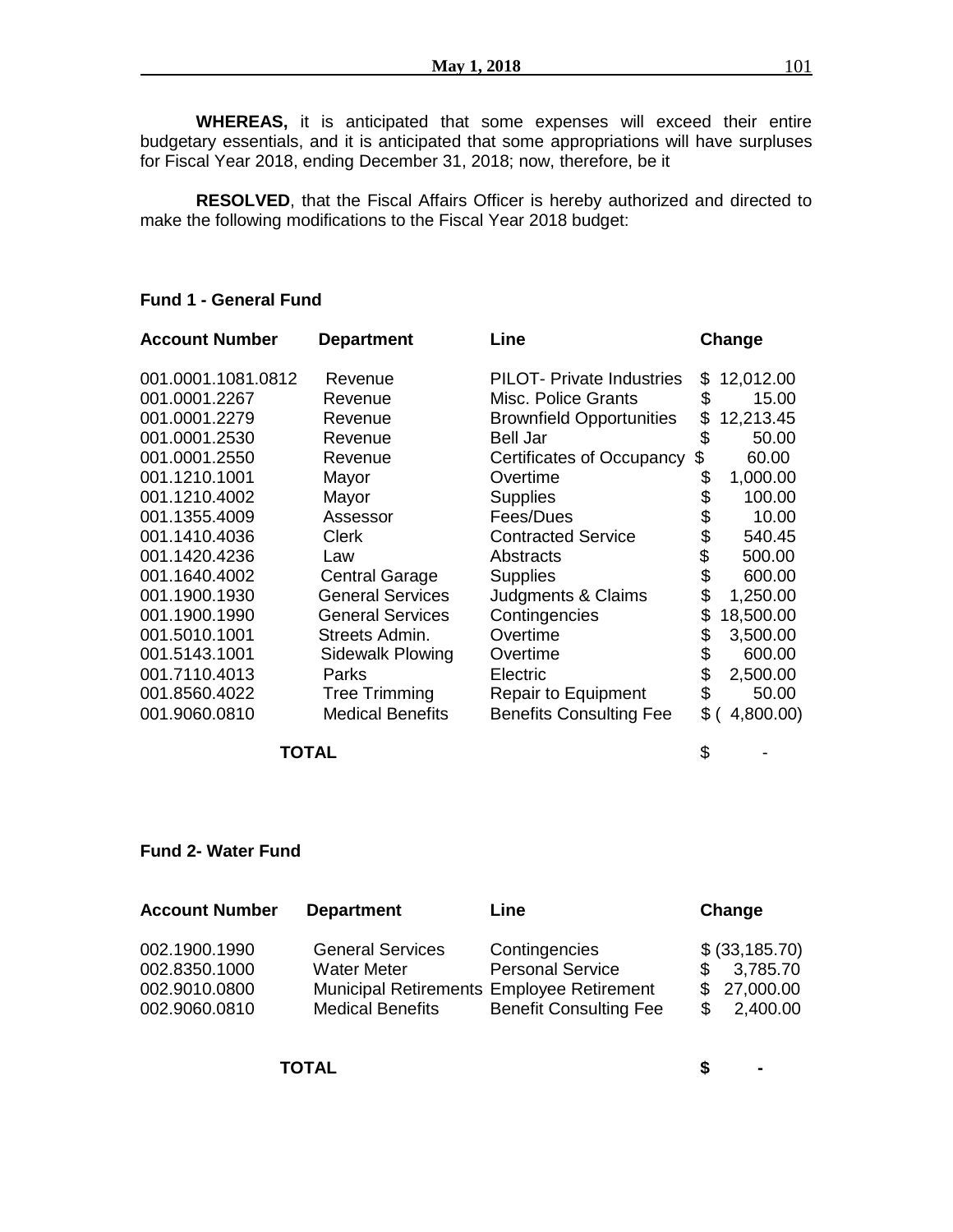**WHEREAS,** it is anticipated that some expenses will exceed their entire budgetary essentials, and it is anticipated that some appropriations will have surpluses for Fiscal Year 2018, ending December 31, 2018; now, therefore, be it

**RESOLVED**, that the Fiscal Affairs Officer is hereby authorized and directed to make the following modifications to the Fiscal Year 2018 budget:

### **Fund 1 - General Fund**

| <b>Department</b>       | Line                             |                                                                               | Change    |
|-------------------------|----------------------------------|-------------------------------------------------------------------------------|-----------|
| Revenue                 | <b>PILOT-</b> Private Industries | \$                                                                            | 12,012.00 |
| Revenue                 | Misc. Police Grants              | \$                                                                            | 15.00     |
| Revenue                 |                                  | \$                                                                            | 12,213.45 |
| Revenue                 | Bell Jar                         | \$                                                                            | 50.00     |
| Revenue                 | Certificates of Occupancy        | S                                                                             | 60.00     |
| Mayor                   | Overtime                         | \$                                                                            | 1,000.00  |
| Mayor                   | <b>Supplies</b>                  | \$                                                                            | 100.00    |
| Assessor                | Fees/Dues                        | \$                                                                            | 10.00     |
| <b>Clerk</b>            | <b>Contracted Service</b>        | \$                                                                            | 540.45    |
| Law                     | Abstracts                        |                                                                               | 500.00    |
| <b>Central Garage</b>   | <b>Supplies</b>                  | \$                                                                            | 600.00    |
| <b>General Services</b> | Judgments & Claims               | \$                                                                            | 1,250.00  |
| <b>General Services</b> | Contingencies                    | \$                                                                            | 18,500.00 |
| Streets Admin.          |                                  | \$                                                                            | 3,500.00  |
| Sidewalk Plowing        | Overtime                         | \$                                                                            | 600.00    |
| Parks                   | Electric                         |                                                                               | 2,500.00  |
| <b>Tree Trimming</b>    | <b>Repair to Equipment</b>       | \$                                                                            | 50.00     |
| <b>Medical Benefits</b> |                                  | \$                                                                            | 4,800.00) |
|                         |                                  | <b>Brownfield Opportunities</b><br>Overtime<br><b>Benefits Consulting Fee</b> | \$        |

#### **TOTAL** \$ -

### **Fund 2- Water Fund**

| 002.1900.1990<br><b>General Services</b><br>Contingencies<br><b>Personal Service</b><br>002.8350.1000<br><b>Water Meter</b><br>$\mathcal{S}$<br>002.9010.0800<br>Municipal Retirements Employee Retirement<br><b>Benefit Consulting Fee</b><br>002.9060.0810<br><b>Medical Benefits</b> | $$$ (33,185.70)<br>3,785.70<br>\$27,000.00<br>2,400.00 |
|-----------------------------------------------------------------------------------------------------------------------------------------------------------------------------------------------------------------------------------------------------------------------------------------|--------------------------------------------------------|

**TOTAL \$ -**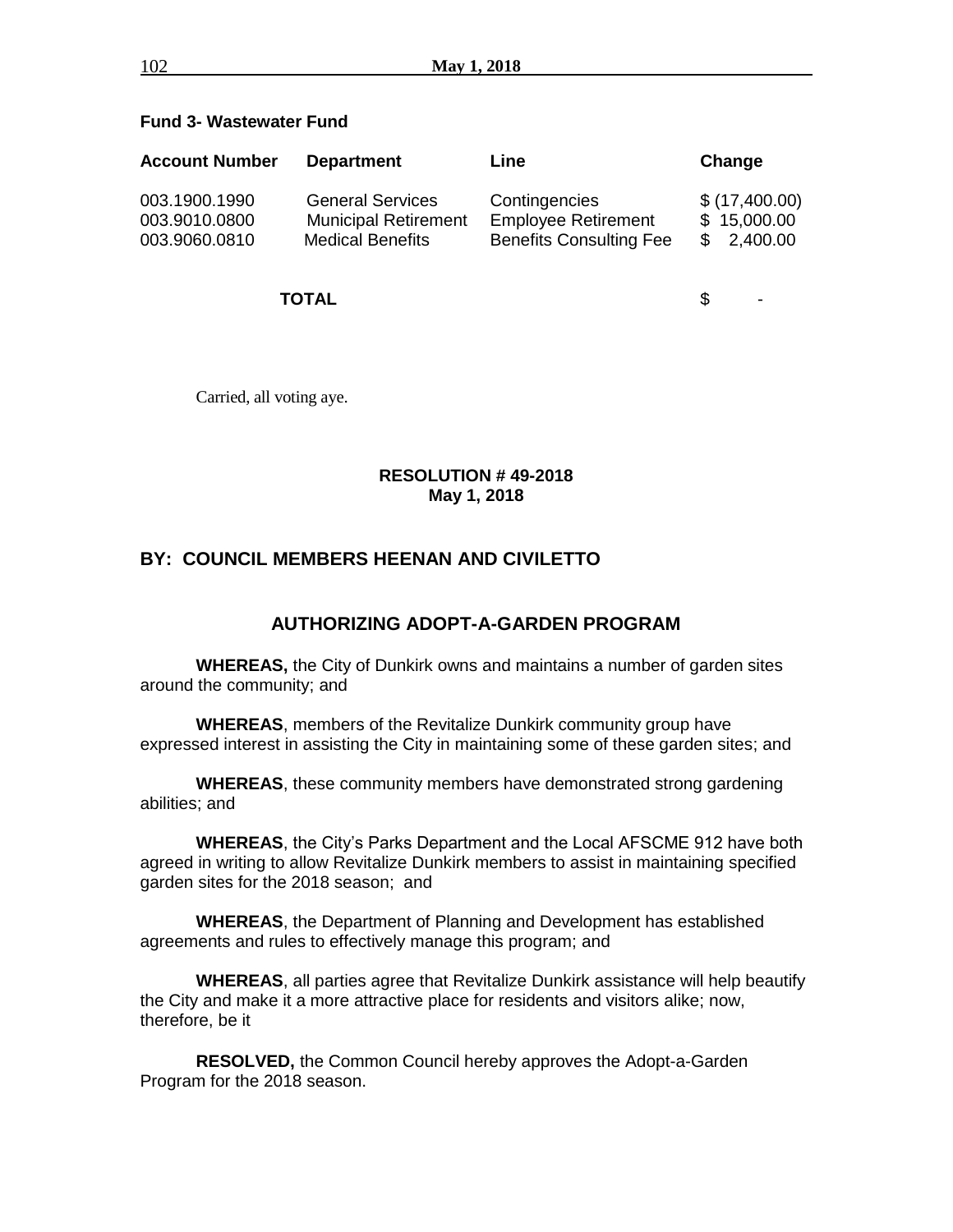## **Fund 3- Wastewater Fund**

| <b>Account Number</b> | <b>Department</b>           | Line                           | Change        |
|-----------------------|-----------------------------|--------------------------------|---------------|
| 003.1900.1990         | <b>General Services</b>     | Contingencies                  | \$(17,400.00) |
| 003.9010.0800         | <b>Municipal Retirement</b> | <b>Employee Retirement</b>     | \$15,000.00   |
| 003.9060.0810         | <b>Medical Benefits</b>     | <b>Benefits Consulting Fee</b> | \$2,400.00    |

**TOTAL** \$ -

Carried, all voting aye.

## **RESOLUTION # 49-2018 May 1, 2018**

# **BY: COUNCIL MEMBERS HEENAN AND CIVILETTO**

# **AUTHORIZING ADOPT-A-GARDEN PROGRAM**

**WHEREAS,** the City of Dunkirk owns and maintains a number of garden sites around the community; and

**WHEREAS**, members of the Revitalize Dunkirk community group have expressed interest in assisting the City in maintaining some of these garden sites; and

**WHEREAS**, these community members have demonstrated strong gardening abilities; and

**WHEREAS**, the City's Parks Department and the Local AFSCME 912 have both agreed in writing to allow Revitalize Dunkirk members to assist in maintaining specified garden sites for the 2018 season; and

**WHEREAS**, the Department of Planning and Development has established agreements and rules to effectively manage this program; and

**WHEREAS**, all parties agree that Revitalize Dunkirk assistance will help beautify the City and make it a more attractive place for residents and visitors alike; now, therefore, be it

**RESOLVED,** the Common Council hereby approves the Adopt-a-Garden Program for the 2018 season.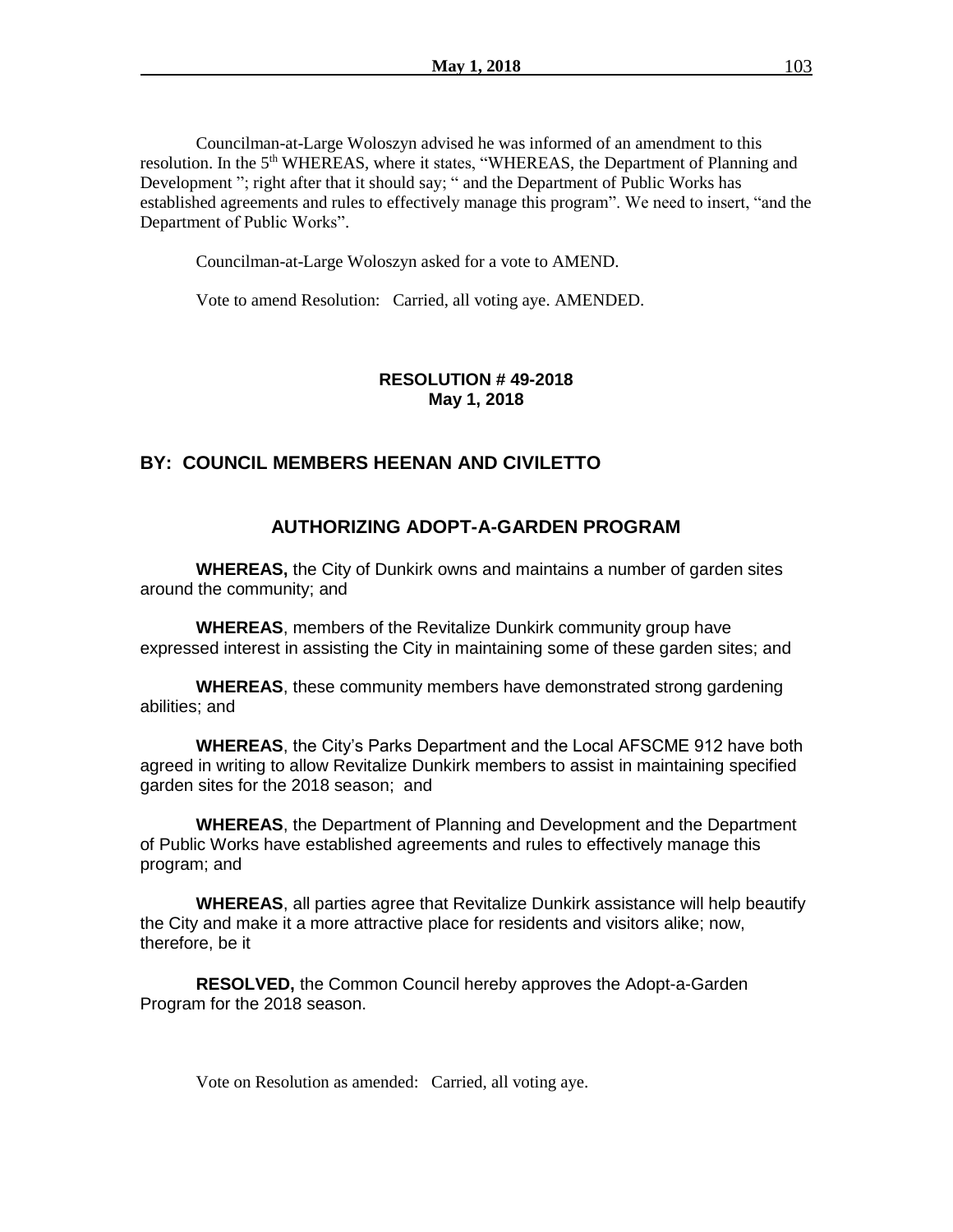Councilman-at-Large Woloszyn advised he was informed of an amendment to this resolution. In the 5<sup>th</sup> WHEREAS, where it states, "WHEREAS, the Department of Planning and Development "; right after that it should say; " and the Department of Public Works has established agreements and rules to effectively manage this program". We need to insert, "and the Department of Public Works".

Councilman-at-Large Woloszyn asked for a vote to AMEND.

Vote to amend Resolution: Carried, all voting aye. AMENDED.

## **RESOLUTION # 49-2018 May 1, 2018**

## **BY: COUNCIL MEMBERS HEENAN AND CIVILETTO**

# **AUTHORIZING ADOPT-A-GARDEN PROGRAM**

**WHEREAS,** the City of Dunkirk owns and maintains a number of garden sites around the community; and

**WHEREAS**, members of the Revitalize Dunkirk community group have expressed interest in assisting the City in maintaining some of these garden sites; and

**WHEREAS**, these community members have demonstrated strong gardening abilities; and

**WHEREAS**, the City's Parks Department and the Local AFSCME 912 have both agreed in writing to allow Revitalize Dunkirk members to assist in maintaining specified garden sites for the 2018 season; and

**WHEREAS**, the Department of Planning and Development and the Department of Public Works have established agreements and rules to effectively manage this program; and

**WHEREAS**, all parties agree that Revitalize Dunkirk assistance will help beautify the City and make it a more attractive place for residents and visitors alike; now, therefore, be it

**RESOLVED,** the Common Council hereby approves the Adopt-a-Garden Program for the 2018 season.

Vote on Resolution as amended: Carried, all voting aye.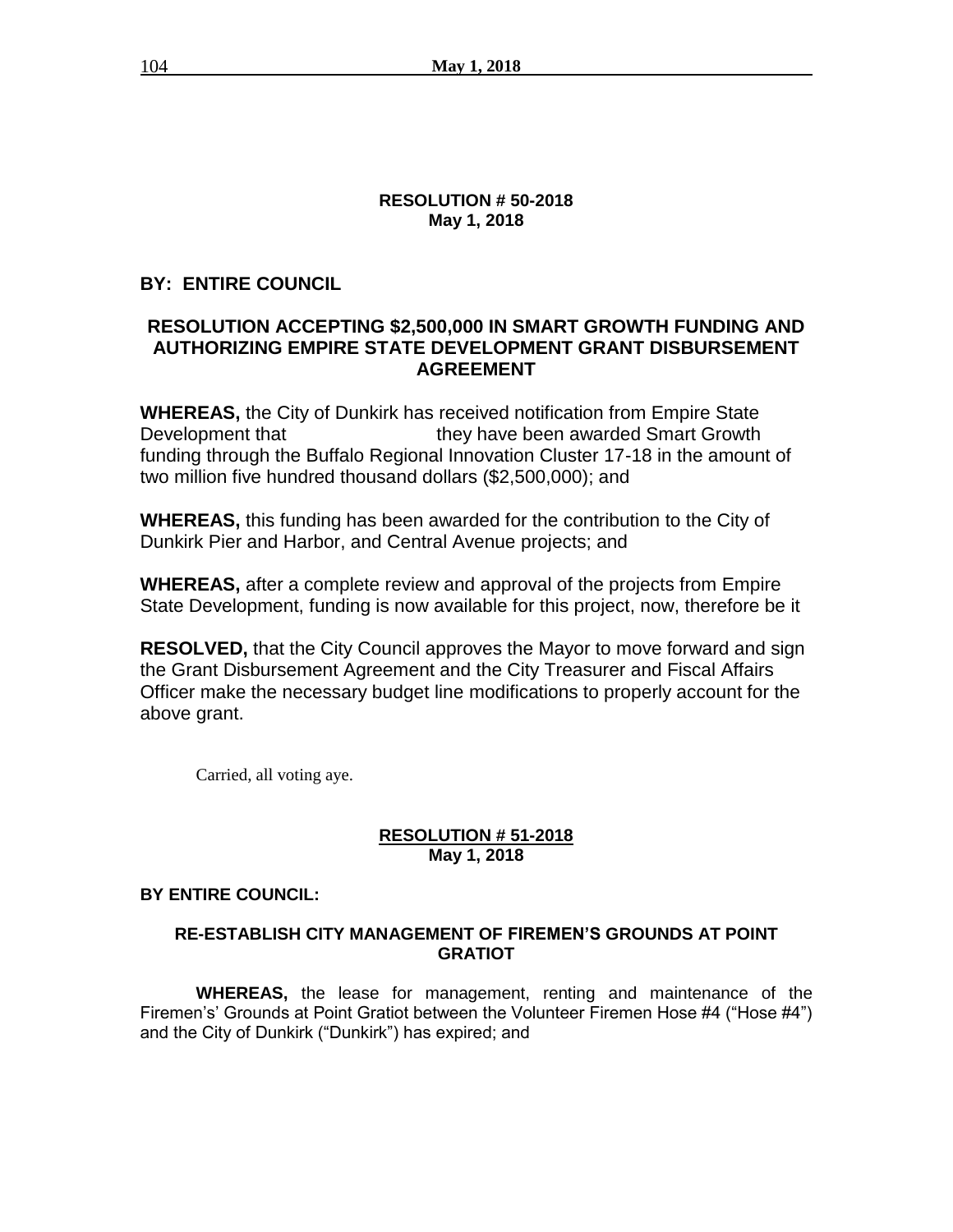## **RESOLUTION # 50-2018 May 1, 2018**

# **BY: ENTIRE COUNCIL**

# **RESOLUTION ACCEPTING \$2,500,000 IN SMART GROWTH FUNDING AND AUTHORIZING EMPIRE STATE DEVELOPMENT GRANT DISBURSEMENT AGREEMENT**

**WHEREAS,** the City of Dunkirk has received notification from Empire State Development that they have been awarded Smart Growth funding through the Buffalo Regional Innovation Cluster 17-18 in the amount of two million five hundred thousand dollars (\$2,500,000); and

**WHEREAS,** this funding has been awarded for the contribution to the City of Dunkirk Pier and Harbor, and Central Avenue projects; and

**WHEREAS,** after a complete review and approval of the projects from Empire State Development, funding is now available for this project, now, therefore be it

**RESOLVED,** that the City Council approves the Mayor to move forward and sign the Grant Disbursement Agreement and the City Treasurer and Fiscal Affairs Officer make the necessary budget line modifications to properly account for the above grant.

Carried, all voting aye.

# **RESOLUTION # 51-2018 May 1, 2018**

# **BY ENTIRE COUNCIL:**

# **RE-ESTABLISH CITY MANAGEMENT OF FIREMEN'S GROUNDS AT POINT GRATIOT**

**WHEREAS,** the lease for management, renting and maintenance of the Firemen's' Grounds at Point Gratiot between the Volunteer Firemen Hose #4 ("Hose #4") and the City of Dunkirk ("Dunkirk") has expired; and